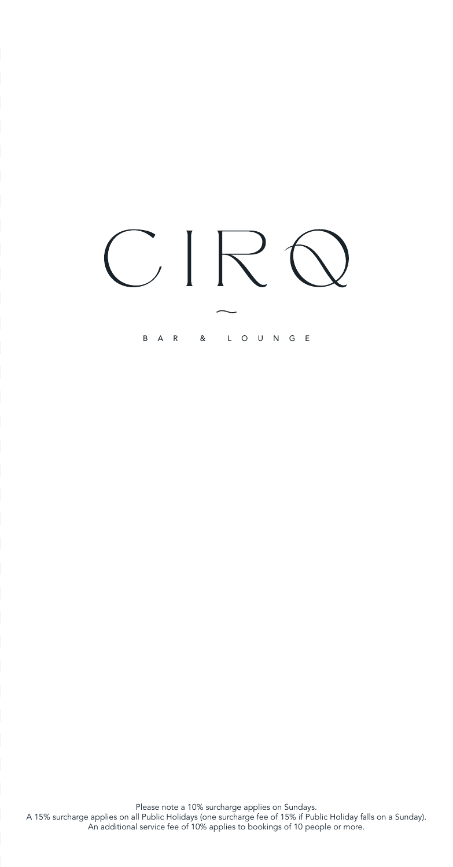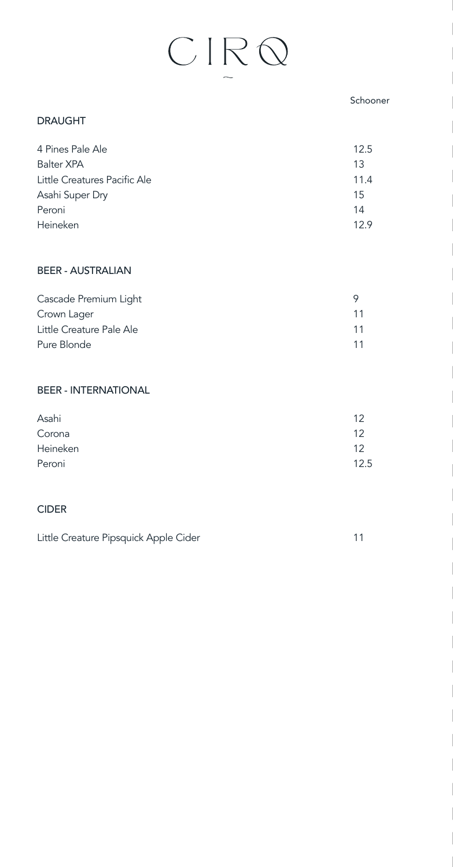#### Schooner

#### DRAUGHT

| 4 Pines Pale Ale             | 12.5 |
|------------------------------|------|
| Balter XPA                   | 13   |
| Little Creatures Pacific Ale | 11.4 |
| Asahi Super Dry              | 15   |
| Peroni                       | 14   |
| Heineken                     | 129  |

#### BEER - AUSTRALIAN

| Cascade Premium Light    |  |
|--------------------------|--|
| Crown Lager              |  |
| Little Creature Pale Ale |  |
| Pure Blonde              |  |

#### BEER - INTERNATIONAL

| Asahi    | 12   |
|----------|------|
| Corona   | 12   |
| Heineken | 12   |
| Peroni   | 12.5 |

#### CIDER

| Little Creature Pipsquick Apple Cider |  |
|---------------------------------------|--|
|                                       |  |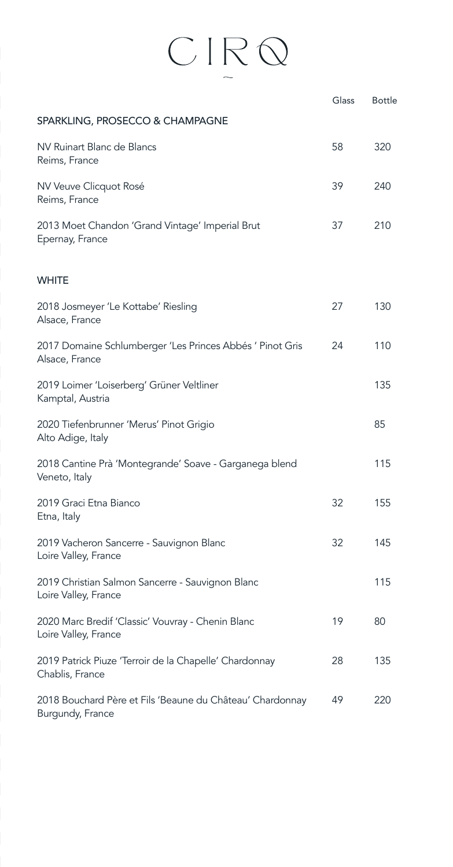|                                                                               | Glass | <b>Bottle</b> |
|-------------------------------------------------------------------------------|-------|---------------|
| SPARKLING, PROSECCO & CHAMPAGNE                                               |       |               |
| NV Ruinart Blanc de Blancs<br>Reims, France                                   | 58    | 320           |
| NV Veuve Clicquot Rosé<br>Reims, France                                       | 39    | 240           |
| 2013 Moet Chandon 'Grand Vintage' Imperial Brut<br>Epernay, France            | 37    | 210           |
| <b>WHITE</b>                                                                  |       |               |
| 2018 Josmeyer 'Le Kottabe' Riesling<br>Alsace, France                         | 27    | 130           |
| 2017 Domaine Schlumberger 'Les Princes Abbés ' Pinot Gris<br>Alsace, France   | 24    | 110           |
| 2019 Loimer 'Loiserberg' Grüner Veltliner<br>Kamptal, Austria                 |       | 135           |
| 2020 Tiefenbrunner 'Merus' Pinot Grigio<br>Alto Adige, Italy                  |       | 85            |
| 2018 Cantine Prà 'Montegrande' Soave - Garganega blend<br>Veneto, Italy       |       | 115           |
| 2019 Graci Etna Bianco<br>Etna, Italy                                         | 32    | 155           |
| 2019 Vacheron Sancerre - Sauvignon Blanc<br>Loire Valley, France              | 32    | 145           |
| 2019 Christian Salmon Sancerre - Sauvignon Blanc<br>Loire Valley, France      |       | 115           |
| 2020 Marc Bredif 'Classic' Vouvray - Chenin Blanc<br>Loire Valley, France     | 19    | 80            |
| 2019 Patrick Piuze 'Terroir de la Chapelle' Chardonnay<br>Chablis, France     | 28    | 135           |
| 2018 Bouchard Père et Fils 'Beaune du Château' Chardonnay<br>Burgundy, France | 49    | 220           |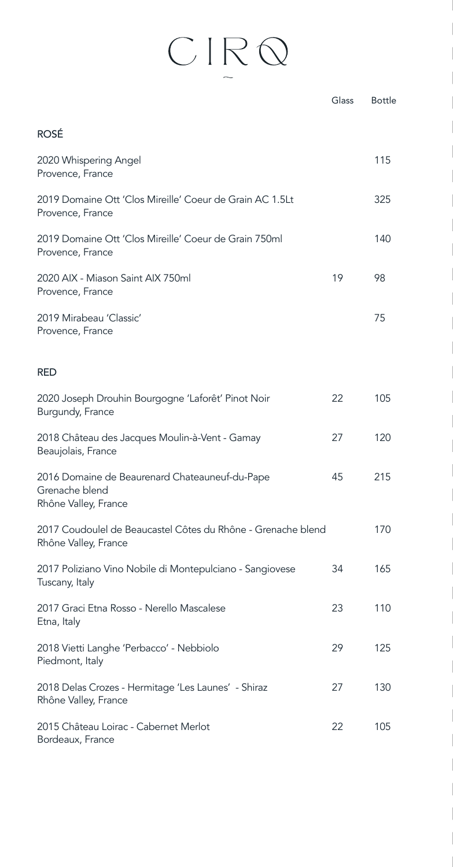|                                                                                          | Glass | <b>Bottle</b> |
|------------------------------------------------------------------------------------------|-------|---------------|
| <b>ROSÉ</b>                                                                              |       |               |
| 2020 Whispering Angel<br>Provence, France                                                |       | 115           |
| 2019 Domaine Ott 'Clos Mireille' Coeur de Grain AC 1.5Lt<br>Provence, France             |       | 325           |
| 2019 Domaine Ott 'Clos Mireille' Coeur de Grain 750ml<br>Provence, France                |       | 140           |
| 2020 AIX - Miason Saint AIX 750ml<br>Provence, France                                    | 19    | 98            |
| 2019 Mirabeau 'Classic'<br>Provence, France                                              |       | 75            |
| <b>RED</b>                                                                               |       |               |
| 2020 Joseph Drouhin Bourgogne 'Laforêt' Pinot Noir<br>Burgundy, France                   | 22    | 105           |
| 2018 Château des Jacques Moulin-à-Vent - Gamay<br>Beaujolais, France                     | 27    | 120           |
| 2016 Domaine de Beaurenard Chateauneuf-du-Pape<br>Grenache blend<br>Rhône Valley, France | 45    | 215           |
| 2017 Coudoulel de Beaucastel Côtes du Rhône - Grenache blend<br>Rhône Valley, France     |       | 170           |
| 2017 Poliziano Vino Nobile di Montepulciano - Sangiovese<br>Tuscany, Italy               | 34    | 165           |
| 2017 Graci Etna Rosso - Nerello Mascalese<br>Etna, Italy                                 | 23    | 110           |
| 2018 Vietti Langhe 'Perbacco' - Nebbiolo<br>Piedmont, Italy                              | 29    | 125           |
| 2018 Delas Crozes - Hermitage 'Les Launes' - Shiraz<br>Rhône Valley, France              | 27    | 130           |
| 2015 Château Loirac - Cabernet Merlot<br>Bordeaux, France                                | 22    | 105           |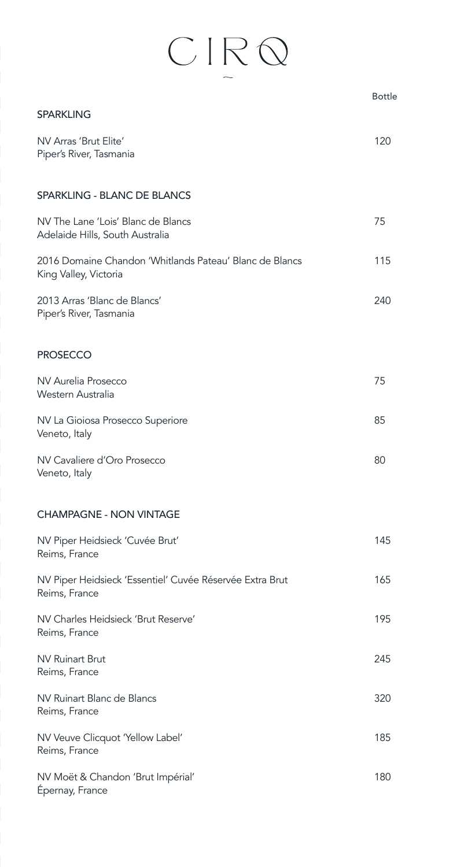|                                                                                  | <b>Bottle</b> |
|----------------------------------------------------------------------------------|---------------|
| <b>SPARKLING</b>                                                                 |               |
| NV Arras 'Brut Elite'<br>Piper's River, Tasmania                                 | 120           |
| SPARKLING - BLANC DE BLANCS                                                      |               |
| NV The Lane 'Lois' Blanc de Blancs<br>Adelaide Hills, South Australia            | 75            |
| 2016 Domaine Chandon 'Whitlands Pateau' Blanc de Blancs<br>King Valley, Victoria | 115           |
| 2013 Arras 'Blanc de Blancs'<br>Piper's River, Tasmania                          | 240           |
| <b>PROSECCO</b>                                                                  |               |
| NV Aurelia Prosecco<br>Western Australia                                         | 75            |
| NV La Gioiosa Prosecco Superiore<br>Veneto, Italy                                | 85            |
| NV Cavaliere d'Oro Prosecco<br>Veneto, Italy                                     | 80            |
| <b>CHAMPAGNE - NON VINTAGE</b>                                                   |               |
| NV Piper Heidsieck 'Cuvée Brut'<br>Reims, France                                 | 145           |
| NV Piper Heidsieck 'Essentiel' Cuvée Réservée Extra Brut<br>Reims, France        | 165           |
| NV Charles Heidsieck 'Brut Reserve'<br>Reims, France                             | 195           |
| <b>NV Ruinart Brut</b><br>Reims, France                                          | 245           |
| NV Ruinart Blanc de Blancs<br>Reims, France                                      | 320           |
| NV Veuve Clicquot 'Yellow Label'<br>Reims, France                                | 185           |
| NV Moët & Chandon 'Brut Impérial'<br>Epernay, France                             | 180           |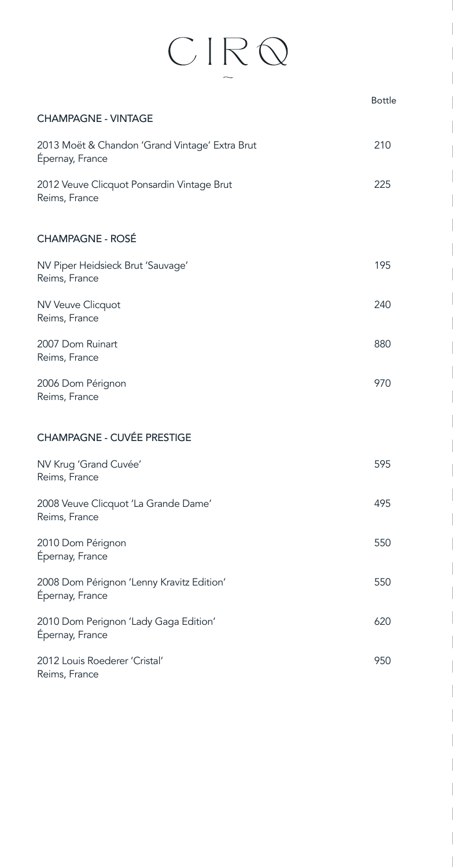|                                                                   | <b>Bottle</b> |
|-------------------------------------------------------------------|---------------|
| <b>CHAMPAGNE - VINTAGE</b>                                        |               |
| 2013 Moët & Chandon 'Grand Vintage' Extra Brut<br>Epernay, France | 210           |
| 2012 Veuve Clicquot Ponsardin Vintage Brut<br>Reims, France       | 225           |
| <b>CHAMPAGNE - ROSÉ</b>                                           |               |
| NV Piper Heidsieck Brut 'Sauvage'<br>Reims, France                | 195           |
| NV Veuve Clicquot<br>Reims, France                                | 240           |
| 2007 Dom Ruinart<br>Reims, France                                 | 880           |
| 2006 Dom Pérignon<br>Reims, France                                | 970           |
| <b>CHAMPAGNE - CUVÉE PRESTIGE</b>                                 |               |
| NV Krug 'Grand Cuvée'<br>Reims, France                            | 595           |
| 2008 Veuve Clicquot 'La Grande Dame'<br>Reims, France             | 495           |
| 2010 Dom Pérignon<br>Épernay, France                              | 550           |
| 2008 Dom Pérignon 'Lenny Kravitz Edition'<br>Épernay, France      | 550           |
| 2010 Dom Perignon 'Lady Gaga Edition'<br>Épernay, France          | 620           |
| 2012 Louis Roederer 'Cristal'<br>Reims, France                    | 950           |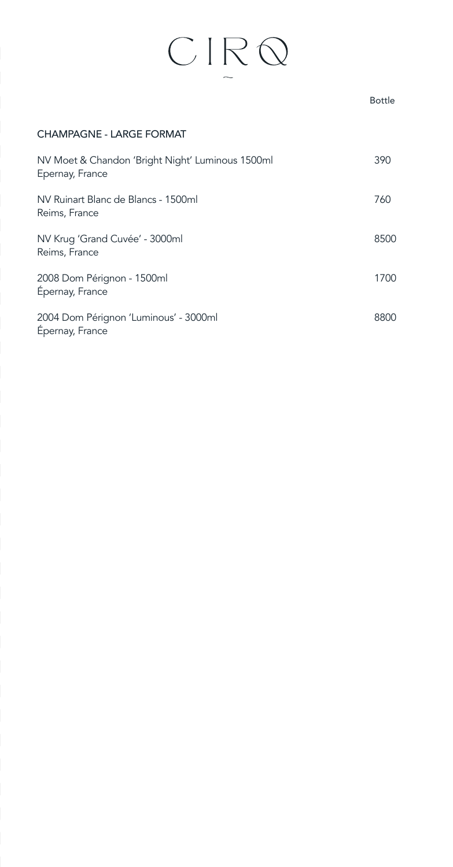### $CIR$

### Bottle CHAMPAGNE - LARGE FORMAT NV Moet & Chandon 'Bright Night' Luminous 1500ml 390 Epernay, France NV Ruinart Blanc de Blancs - 1500ml 760 Reims, France NV Krug 'Grand Cuvée' - 3000ml 8500 Reims, France 2008 Dom Pérignon - 1500ml 1700 Épernay, France 2004 Dom Pérignon 'Luminous' - 3000ml 8800 Épernay, France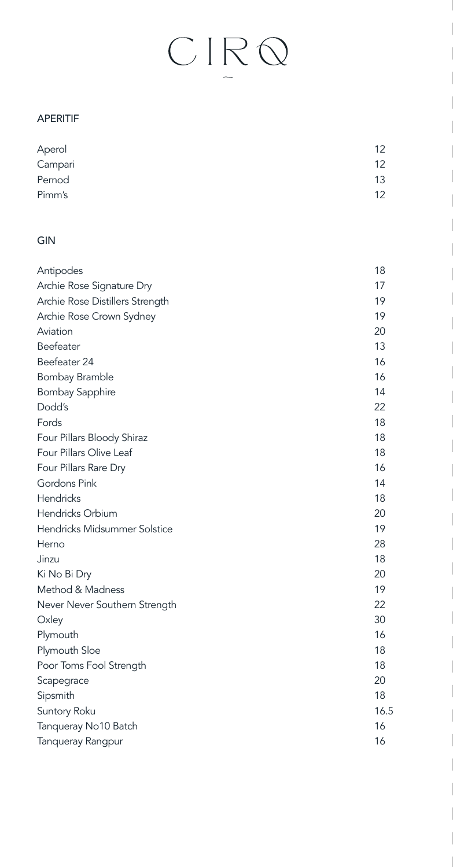## $\frac{1}{2}$

#### APERITIF

| Aperol  | 12 |
|---------|----|
| Campari | 12 |
| Pernod  | 13 |
| Pimm's  | 12 |

#### GIN

| Antipodes                       | 18   |
|---------------------------------|------|
| Archie Rose Signature Dry       | 17   |
| Archie Rose Distillers Strength | 19   |
| Archie Rose Crown Sydney        | 19   |
| Aviation                        | 20   |
| Beefeater                       | 13   |
| Beefeater 24                    | 16   |
| Bombay Bramble                  | 16   |
| <b>Bombay Sapphire</b>          | 14   |
| Dodd's                          | 22   |
| Fords                           | 18   |
| Four Pillars Bloody Shiraz      | 18   |
| Four Pillars Olive Leaf         | 18   |
| Four Pillars Rare Dry           | 16   |
| Gordons Pink                    | 14   |
| Hendricks                       | 18   |
| Hendricks Orbium                | 20   |
| Hendricks Midsummer Solstice    | 19   |
| Herno                           | 28   |
| Jinzu                           | 18   |
| Ki No Bi Dry                    | 20   |
| Method & Madness                | 19   |
| Never Never Southern Strength   | 22   |
| Oxley                           | 30   |
| Plymouth                        | 16   |
| Plymouth Sloe                   | 18   |
| Poor Toms Fool Strength         | 18   |
| Scapegrace                      | 20   |
| Sipsmith                        | 18   |
| Suntory Roku                    | 16.5 |
| Tanqueray No10 Batch            | 16   |
| <b>Tanqueray Rangpur</b>        | 16   |
|                                 |      |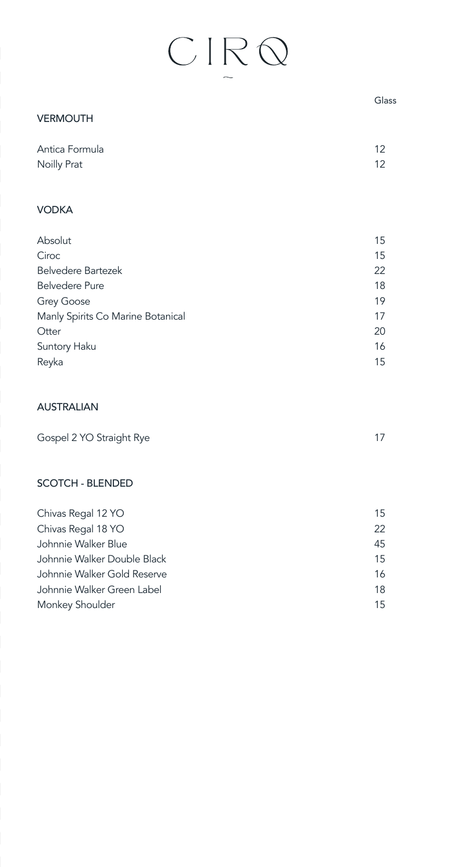| Glass             |
|-------------------|
|                   |
| $12 \overline{ }$ |
| 12                |
|                   |
| 15                |
| 15                |
| 22                |
| 18                |
| 19                |
| 17                |
| 20                |
| 16                |
| 15                |
|                   |

#### AUSTRALIAN

| Gospel 2 YO Straight Rye |  |
|--------------------------|--|
|--------------------------|--|

#### SCOTCH - BLENDED

| Chivas Regal 12 YO          | 15 |
|-----------------------------|----|
| Chivas Regal 18 YO          | 22 |
| Johnnie Walker Blue         | 45 |
| Johnnie Walker Double Black | 15 |
| Johnnie Walker Gold Reserve | 16 |
| Johnnie Walker Green Label  | 18 |
| Monkey Shoulder             | 15 |
|                             |    |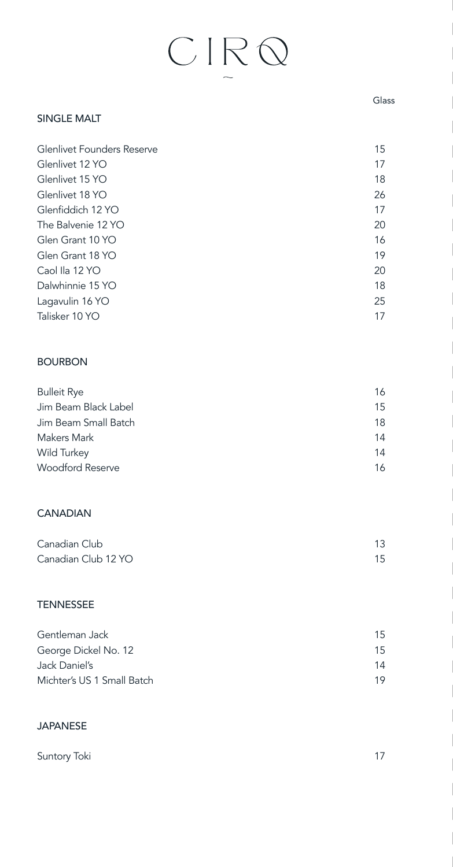#### SINGLE MALT

| <b>Glenlivet Founders Reserve</b> | 15 |
|-----------------------------------|----|
| Glenlivet 12 YO                   | 17 |
| Glenlivet 15 YO                   | 18 |
| Glenlivet 18 YO                   | 26 |
| Glenfiddich 12 YO                 | 17 |
| The Balvenie 12 YO                | 20 |
| Glen Grant 10 YO                  | 16 |
| Glen Grant 18 YO                  | 19 |
| Caol Ila 12 YO                    | 20 |
| Dalwhinnie 15 YO                  | 18 |
| Lagavulin 16 YO                   | 25 |
| Talisker 10 YO                    | 17 |

#### BOURBON

| <b>Bulleit Rye</b>      | 16 |
|-------------------------|----|
| Jim Beam Black Label    | 15 |
| Jim Beam Small Batch    | 18 |
| Makers Mark             | 14 |
| Wild Turkey             | 14 |
| <b>Woodford Reserve</b> | 16 |

#### **CANADIAN**

| Canadian Club       |    |
|---------------------|----|
| Canadian Club 12 YO | 15 |

#### TENNESSEE

| Gentleman Jack             | 15 |
|----------------------------|----|
| George Dickel No. 12       | 15 |
| Jack Daniel's              | 14 |
| Michter's US 1 Small Batch | 19 |

#### JAPANESE

| Suntory Toki | 17 |
|--------------|----|
|              |    |

#### Glass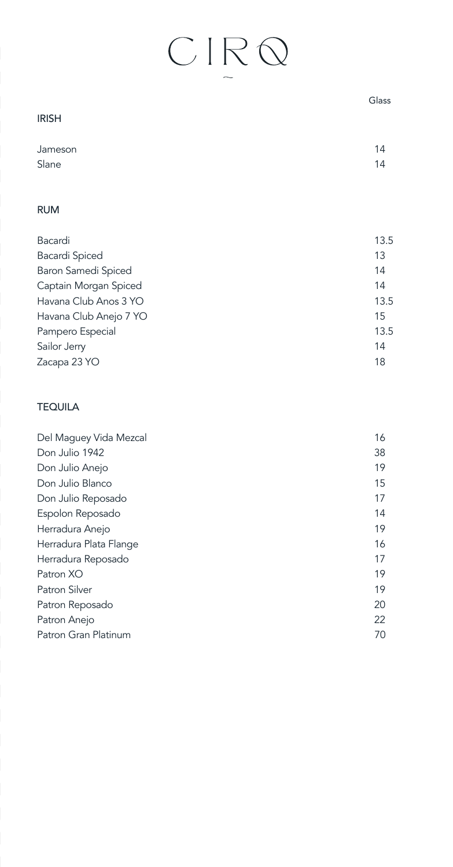|                        | Glass |
|------------------------|-------|
| <b>IRISH</b>           |       |
| Jameson                | 14    |
| Slane                  | 14    |
| <b>RUM</b>             |       |
| Bacardi                | 13.5  |
| Bacardi Spiced         | 13    |
| Baron Samedi Spiced    | 14    |
| Captain Morgan Spiced  | 14    |
| Havana Club Anos 3 YO  | 13.5  |
| Havana Club Anejo 7 YO | 15    |
| Pampero Especial       | 13.5  |
| Sailor Jerry           | 14    |
| Zacapa 23 YO           | 18    |
| <b>TEQUILA</b>         |       |
| Del Maguey Vida Mezcal | 16    |
| Don Julio 1942         | 38    |
| Don Julio Anejo        | 19    |
| Don Julio Blanco       | 15    |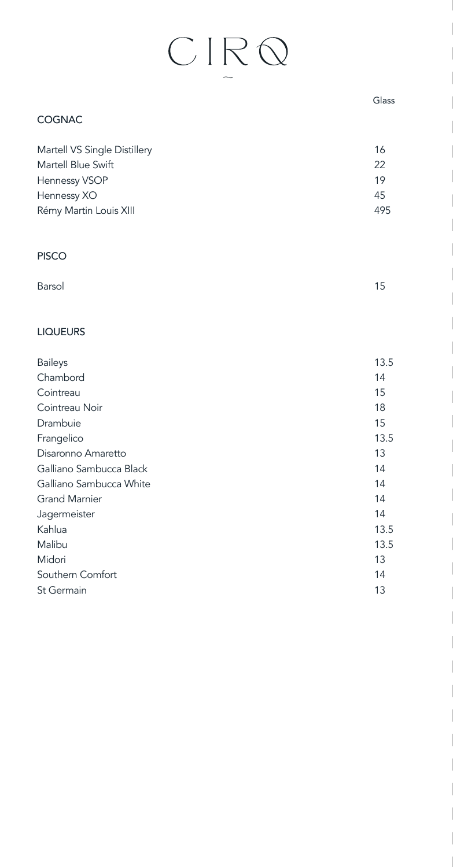| <b>COGNAC</b>                                                                                                |                             |
|--------------------------------------------------------------------------------------------------------------|-----------------------------|
| Martell VS Single Distillery<br>Martell Blue Swift<br>Hennessy VSOP<br>Hennessy XO<br>Rémy Martin Louis XIII | 16<br>22<br>19<br>45<br>495 |
| <b>PISCO</b>                                                                                                 |                             |
| Barsol                                                                                                       | 15                          |
| <b>LIQUEURS</b>                                                                                              |                             |
| <b>Baileys</b>                                                                                               | 13.5                        |
| Chambord                                                                                                     | 14                          |
| Cointreau                                                                                                    | 15                          |
| Cointreau Noir                                                                                               | 18                          |
| Drambuie                                                                                                     | 15                          |
| Frangelico                                                                                                   | 13.5                        |
| Disaronno Amaretto                                                                                           | 13                          |
| Galliano Sambucca Black                                                                                      | 14                          |
| Galliano Sambucca White                                                                                      | 14                          |
| <b>Grand Marnier</b>                                                                                         | 14                          |
| Jagermeister                                                                                                 | 14                          |
| Kahlua                                                                                                       | 13.5                        |
| Malibu                                                                                                       | 13.5                        |
| Midori                                                                                                       | 13                          |
| Southern Comfort                                                                                             | 14                          |

St Germain 13

Glass